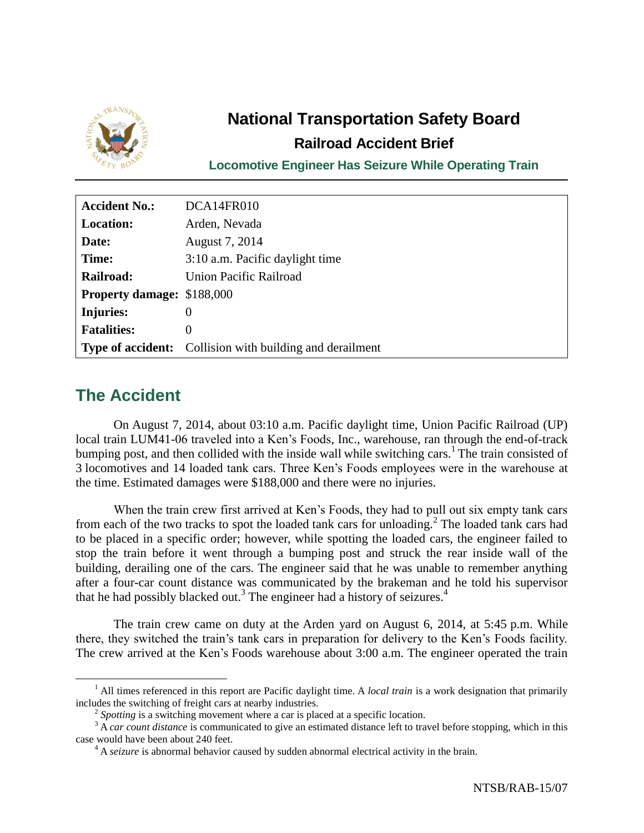

# **National Transportation Safety Board Railroad Accident Brief**

**Locomotive Engineer Has Seizure While Operating Train**

| <b>Accident No.:</b>              | DCA14FR010                                                      |
|-----------------------------------|-----------------------------------------------------------------|
| <b>Location:</b>                  | Arden, Nevada                                                   |
| Date:                             | August 7, 2014                                                  |
| Time:                             | 3:10 a.m. Pacific daylight time                                 |
| Railroad:                         | <b>Union Pacific Railroad</b>                                   |
| <b>Property damage: \$188,000</b> |                                                                 |
| Injuries:                         | $\theta$                                                        |
| <b>Fatalities:</b>                | 0                                                               |
|                                   | <b>Type of accident:</b> Collision with building and derailment |

## **The Accident**

 $\overline{a}$ 

On August 7, 2014, about 03:10 a.m. Pacific daylight time, Union Pacific Railroad (UP) local train LUM41-06 traveled into a Ken's Foods, Inc., warehouse, ran through the end-of-track bumping post, and then collided with the inside wall while switching cars.<sup>1</sup> The train consisted of 3 locomotives and 14 loaded tank cars. Three Ken's Foods employees were in the warehouse at the time. Estimated damages were \$188,000 and there were no injuries.

When the train crew first arrived at Ken's Foods, they had to pull out six empty tank cars from each of the two tracks to spot the loaded tank cars for unloading.<sup>2</sup> The loaded tank cars had to be placed in a specific order; however, while spotting the loaded cars, the engineer failed to stop the train before it went through a bumping post and struck the rear inside wall of the building, derailing one of the cars. The engineer said that he was unable to remember anything after a four-car count distance was communicated by the brakeman and he told his supervisor that he had possibly blacked out.<sup>3</sup> The engineer had a history of seizures.<sup>4</sup>

The train crew came on duty at the Arden yard on August 6, 2014, at 5:45 p.m. While there, they switched the train's tank cars in preparation for delivery to the Ken's Foods facility. The crew arrived at the Ken's Foods warehouse about 3:00 a.m. The engineer operated the train

<sup>&</sup>lt;sup>1</sup> All times referenced in this report are Pacific daylight time. A *local train* is a work designation that primarily includes the switching of freight cars at nearby industries.

<sup>&</sup>lt;sup>2</sup> Spotting is a switching movement where a car is placed at a specific location.

<sup>&</sup>lt;sup>3</sup> A *car count distance* is communicated to give an estimated distance left to travel before stopping, which in this case would have been about 240 feet.

<sup>&</sup>lt;sup>4</sup> A *seizure* is abnormal behavior caused by sudden abnormal electrical activity in the brain.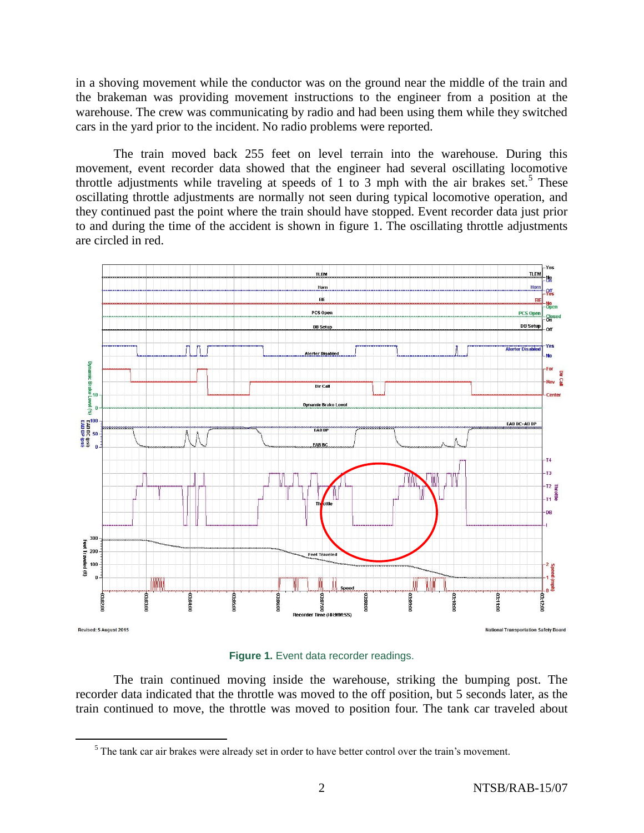in a shoving movement while the conductor was on the ground near the middle of the train and the brakeman was providing movement instructions to the engineer from a position at the warehouse. The crew was communicating by radio and had been using them while they switched cars in the yard prior to the incident. No radio problems were reported.

The train moved back 255 feet on level terrain into the warehouse. During this movement, event recorder data showed that the engineer had several oscillating locomotive throttle adjustments while traveling at speeds of 1 to 3 mph with the air brakes set.<sup>5</sup> These oscillating throttle adjustments are normally not seen during typical locomotive operation, and they continued past the point where the train should have stopped. Event recorder data just prior to and during the time of the accident is shown in figure 1. The oscillating throttle adjustments are circled in red.



**Figure 1.** Event data recorder readings.

The train continued moving inside the warehouse, striking the bumping post. The recorder data indicated that the throttle was moved to the off position, but 5 seconds later, as the train continued to move, the throttle was moved to position four. The tank car traveled about

 $<sup>5</sup>$  The tank car air brakes were already set in order to have better control over the train's movement.</sup>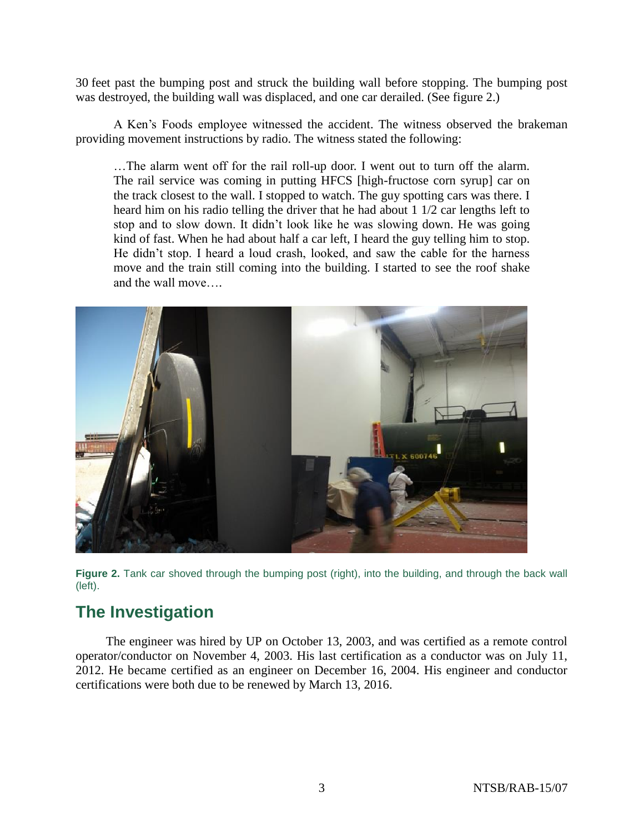30 feet past the bumping post and struck the building wall before stopping. The bumping post was destroyed, the building wall was displaced, and one car derailed. (See figure 2.)

A Ken's Foods employee witnessed the accident. The witness observed the brakeman providing movement instructions by radio. The witness stated the following:

…The alarm went off for the rail roll-up door. I went out to turn off the alarm. The rail service was coming in putting HFCS [high-fructose corn syrup] car on the track closest to the wall. I stopped to watch. The guy spotting cars was there. I heard him on his radio telling the driver that he had about 1 1/2 car lengths left to stop and to slow down. It didn't look like he was slowing down. He was going kind of fast. When he had about half a car left, I heard the guy telling him to stop. He didn't stop. I heard a loud crash, looked, and saw the cable for the harness move and the train still coming into the building. I started to see the roof shake and the wall move….



**Figure 2.** Tank car shoved through the bumping post (right), into the building, and through the back wall (left).

### **The Investigation**

The engineer was hired by UP on October 13, 2003, and was certified as a remote control operator/conductor on November 4, 2003. His last certification as a conductor was on July 11, 2012. He became certified as an engineer on December 16, 2004. His engineer and conductor certifications were both due to be renewed by March 13, 2016.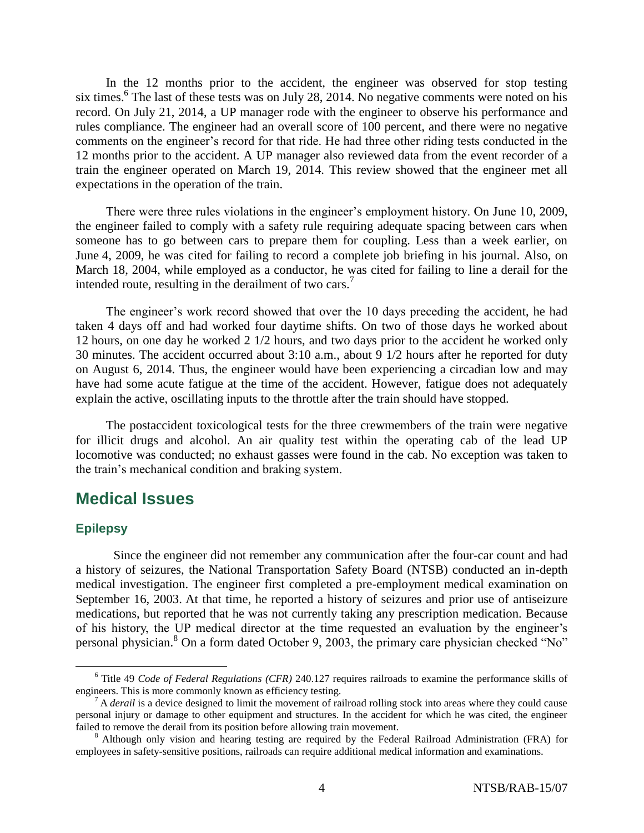In the 12 months prior to the accident, the engineer was observed for stop testing six times.<sup>6</sup> The last of these tests was on July 28, 2014. No negative comments were noted on his record. On July 21, 2014, a UP manager rode with the engineer to observe his performance and rules compliance. The engineer had an overall score of 100 percent, and there were no negative comments on the engineer's record for that ride. He had three other riding tests conducted in the 12 months prior to the accident. A UP manager also reviewed data from the event recorder of a train the engineer operated on March 19, 2014. This review showed that the engineer met all expectations in the operation of the train.

There were three rules violations in the engineer's employment history. On June 10, 2009, the engineer failed to comply with a safety rule requiring adequate spacing between cars when someone has to go between cars to prepare them for coupling. Less than a week earlier, on June 4, 2009, he was cited for failing to record a complete job briefing in his journal. Also, on March 18, 2004, while employed as a conductor, he was cited for failing to line a derail for the intended route, resulting in the derailment of two cars.<sup>7</sup>

The engineer's work record showed that over the 10 days preceding the accident, he had taken 4 days off and had worked four daytime shifts. On two of those days he worked about 12 hours, on one day he worked 2 1/2 hours, and two days prior to the accident he worked only 30 minutes. The accident occurred about 3:10 a.m., about 9 1/2 hours after he reported for duty on August 6, 2014. Thus, the engineer would have been experiencing a circadian low and may have had some acute fatigue at the time of the accident. However, fatigue does not adequately explain the active, oscillating inputs to the throttle after the train should have stopped.

The postaccident toxicological tests for the three crewmembers of the train were negative for illicit drugs and alcohol. An air quality test within the operating cab of the lead UP locomotive was conducted; no exhaust gasses were found in the cab. No exception was taken to the train's mechanical condition and braking system.

#### **Medical Issues**

#### **Epilepsy**

 $\overline{a}$ 

Since the engineer did not remember any communication after the four-car count and had a history of seizures, the National Transportation Safety Board (NTSB) conducted an in-depth medical investigation. The engineer first completed a pre-employment medical examination on September 16, 2003. At that time, he reported a history of seizures and prior use of antiseizure medications, but reported that he was not currently taking any prescription medication. Because of his history, the UP medical director at the time requested an evaluation by the engineer's personal physician.<sup>8</sup> On a form dated October 9, 2003, the primary care physician checked "No"

<sup>6</sup> Title 49 *Code of Federal Regulations (CFR)* 240.127 requires railroads to examine the performance skills of engineers. This is more commonly known as efficiency testing.

<sup>7</sup> A *derail* is a device designed to limit the movement of railroad rolling stock into areas where they could cause personal injury or damage to other equipment and structures. In the accident for which he was cited, the engineer failed to remove the derail from its position before allowing train movement.

<sup>&</sup>lt;sup>8</sup> Although only vision and hearing testing are required by the Federal Railroad Administration (FRA) for employees in safety-sensitive positions, railroads can require additional medical information and examinations.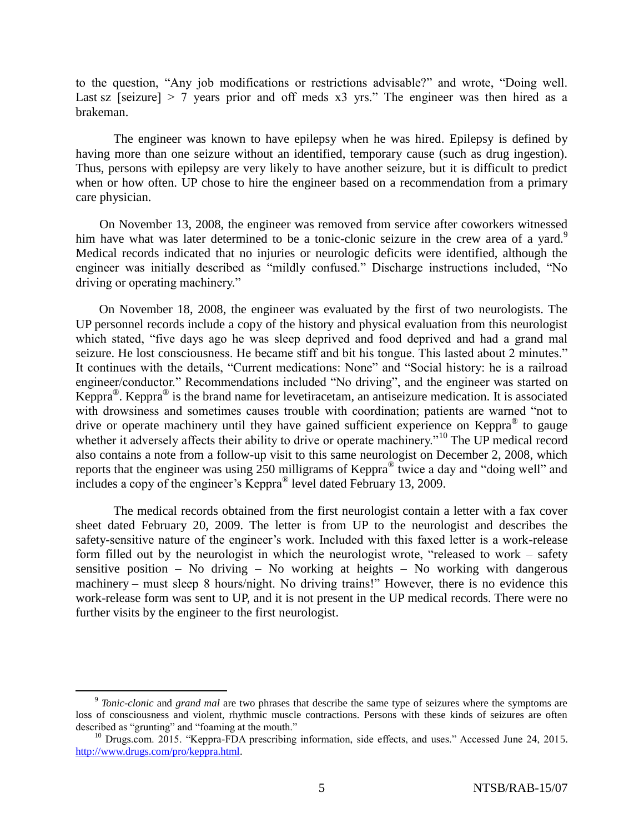to the question, "Any job modifications or restrictions advisable?" and wrote, "Doing well. Last sz [seizure]  $> 7$  years prior and off meds x3 yrs." The engineer was then hired as a brakeman.

The engineer was known to have epilepsy when he was hired. Epilepsy is defined by having more than one seizure without an identified, temporary cause (such as drug ingestion). Thus, persons with epilepsy are very likely to have another seizure, but it is difficult to predict when or how often. UP chose to hire the engineer based on a recommendation from a primary care physician.

On November 13, 2008, the engineer was removed from service after coworkers witnessed him have what was later determined to be a tonic-clonic seizure in the crew area of a yard.<sup>9</sup> Medical records indicated that no injuries or neurologic deficits were identified, although the engineer was initially described as "mildly confused." Discharge instructions included, "No driving or operating machinery."

On November 18, 2008, the engineer was evaluated by the first of two neurologists. The UP personnel records include a copy of the history and physical evaluation from this neurologist which stated, "five days ago he was sleep deprived and food deprived and had a grand mal seizure. He lost consciousness. He became stiff and bit his tongue. This lasted about 2 minutes." It continues with the details, "Current medications: None" and "Social history: he is a railroad engineer/conductor." Recommendations included "No driving", and the engineer was started on Keppra<sup>®</sup>. Keppra<sup>®</sup> is the brand name for levetiracetam, an antiseizure medication. It is associated with drowsiness and sometimes causes trouble with coordination; patients are warned "not to drive or operate machinery until they have gained sufficient experience on Keppra<sup>®</sup> to gauge whether it adversely affects their ability to drive or operate machinery.<sup>"10</sup> The UP medical record also contains a note from a follow-up visit to this same neurologist on December 2, 2008, which reports that the engineer was using  $250$  milligrams of Keppra<sup>®</sup> twice a day and "doing well" and includes a copy of the engineer's Keppra® level dated February 13, 2009.

The medical records obtained from the first neurologist contain a letter with a fax cover sheet dated February 20, 2009. The letter is from UP to the neurologist and describes the safety-sensitive nature of the engineer's work. Included with this faxed letter is a work-release form filled out by the neurologist in which the neurologist wrote, "released to work – safety sensitive position – No driving – No working at heights – No working with dangerous machinery – must sleep 8 hours/night. No driving trains!" However, there is no evidence this work-release form was sent to UP, and it is not present in the UP medical records. There were no further visits by the engineer to the first neurologist.

<sup>&</sup>lt;sup>9</sup> Tonic-clonic and *grand mal* are two phrases that describe the same type of seizures where the symptoms are loss of consciousness and violent, rhythmic muscle contractions. Persons with these kinds of seizures are often described as "grunting" and "foaming at the mouth."

<sup>&</sup>lt;sup>10</sup> Drugs.com. 2015. "Keppra-FDA prescribing information, side effects, and uses." Accessed June 24, 2015. [http://www.drugs.com/pro/keppra.html.](http://www.drugs.com/pro/keppra.html)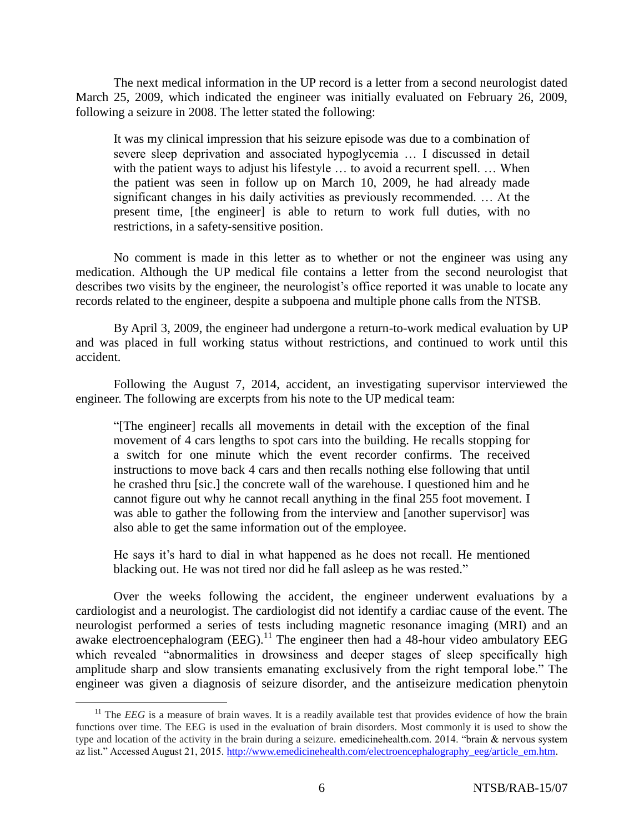The next medical information in the UP record is a letter from a second neurologist dated March 25, 2009, which indicated the engineer was initially evaluated on February 26, 2009, following a seizure in 2008. The letter stated the following:

It was my clinical impression that his seizure episode was due to a combination of severe sleep deprivation and associated hypoglycemia … I discussed in detail with the patient ways to adjust his lifestyle ... to avoid a recurrent spell. ... When the patient was seen in follow up on March 10, 2009, he had already made significant changes in his daily activities as previously recommended. … At the present time, [the engineer] is able to return to work full duties, with no restrictions, in a safety-sensitive position.

No comment is made in this letter as to whether or not the engineer was using any medication. Although the UP medical file contains a letter from the second neurologist that describes two visits by the engineer, the neurologist's office reported it was unable to locate any records related to the engineer, despite a subpoena and multiple phone calls from the NTSB.

By April 3, 2009, the engineer had undergone a return-to-work medical evaluation by UP and was placed in full working status without restrictions, and continued to work until this accident.

Following the August 7, 2014, accident, an investigating supervisor interviewed the engineer. The following are excerpts from his note to the UP medical team:

"[The engineer] recalls all movements in detail with the exception of the final movement of 4 cars lengths to spot cars into the building. He recalls stopping for a switch for one minute which the event recorder confirms. The received instructions to move back 4 cars and then recalls nothing else following that until he crashed thru [sic.] the concrete wall of the warehouse. I questioned him and he cannot figure out why he cannot recall anything in the final 255 foot movement. I was able to gather the following from the interview and [another supervisor] was also able to get the same information out of the employee.

He says it's hard to dial in what happened as he does not recall. He mentioned blacking out. He was not tired nor did he fall asleep as he was rested."

Over the weeks following the accident, the engineer underwent evaluations by a cardiologist and a neurologist. The cardiologist did not identify a cardiac cause of the event. The neurologist performed a series of tests including magnetic resonance imaging (MRI) and an awake electroencephalogram  $(EEG)$ .<sup>11</sup> The engineer then had a 48-hour video ambulatory EEG which revealed "abnormalities in drowsiness and deeper stages of sleep specifically high amplitude sharp and slow transients emanating exclusively from the right temporal lobe." The engineer was given a diagnosis of seizure disorder, and the antiseizure medication phenytoin

<sup>&</sup>lt;sup>11</sup> The *EEG* is a measure of brain waves. It is a readily available test that provides evidence of how the brain functions over time. The EEG is used in the evaluation of brain disorders. Most commonly it is used to show the type and location of the activity in the brain during a seizure. emedicinehealth.com. 2014. "brain & nervous system az list." Accessed August 21, 2015[. http://www.emedicinehealth.com/electroencephalography\\_eeg/article\\_em.htm.](http://www.emedicinehealth.com/electroencephalography_eeg/article_em.htm)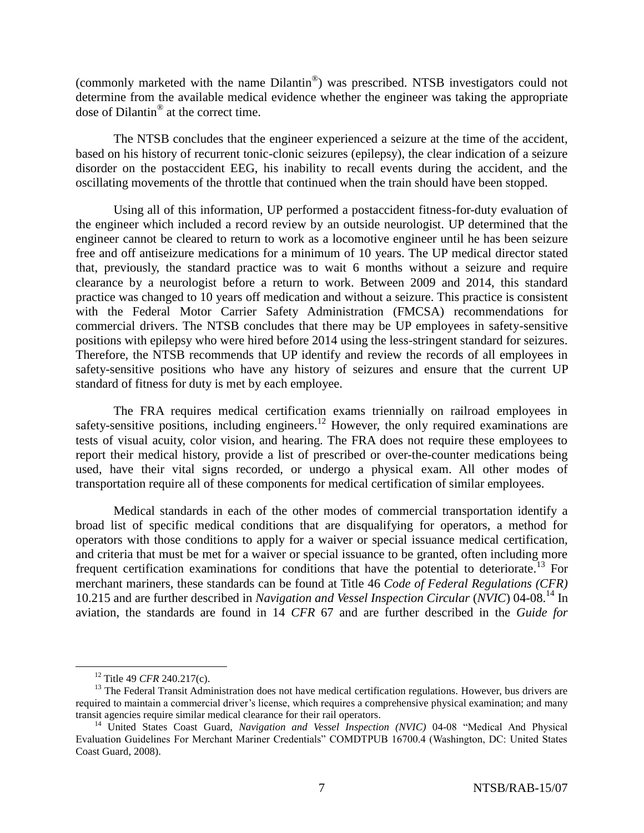(commonly marketed with the name Dilantin® ) was prescribed. NTSB investigators could not determine from the available medical evidence whether the engineer was taking the appropriate dose of Dilantin® at the correct time.

The NTSB concludes that the engineer experienced a seizure at the time of the accident, based on his history of recurrent tonic-clonic seizures (epilepsy), the clear indication of a seizure disorder on the postaccident EEG, his inability to recall events during the accident, and the oscillating movements of the throttle that continued when the train should have been stopped.

Using all of this information, UP performed a postaccident fitness-for-duty evaluation of the engineer which included a record review by an outside neurologist. UP determined that the engineer cannot be cleared to return to work as a locomotive engineer until he has been seizure free and off antiseizure medications for a minimum of 10 years. The UP medical director stated that, previously, the standard practice was to wait 6 months without a seizure and require clearance by a neurologist before a return to work. Between 2009 and 2014, this standard practice was changed to 10 years off medication and without a seizure. This practice is consistent with the Federal Motor Carrier Safety Administration (FMCSA) recommendations for commercial drivers. The NTSB concludes that there may be UP employees in safety-sensitive positions with epilepsy who were hired before 2014 using the less-stringent standard for seizures. Therefore, the NTSB recommends that UP identify and review the records of all employees in safety-sensitive positions who have any history of seizures and ensure that the current UP standard of fitness for duty is met by each employee.

The FRA requires medical certification exams triennially on railroad employees in safety-sensitive positions, including engineers.<sup>12</sup> However, the only required examinations are tests of visual acuity, color vision, and hearing. The FRA does not require these employees to report their medical history, provide a list of prescribed or over-the-counter medications being used, have their vital signs recorded, or undergo a physical exam. All other modes of transportation require all of these components for medical certification of similar employees.

Medical standards in each of the other modes of commercial transportation identify a broad list of specific medical conditions that are disqualifying for operators, a method for operators with those conditions to apply for a waiver or special issuance medical certification, and criteria that must be met for a waiver or special issuance to be granted, often including more frequent certification examinations for conditions that have the potential to deteriorate.<sup>13</sup> For merchant mariners, these standards can be found at Title 46 *Code of Federal Regulations (CFR)* 10.215 and are further described in *Navigation and Vessel Inspection Circular* (*NVIC*) 04-08.<sup>14</sup> In aviation, the standards are found in 14 *CFR* 67 and are further described in the *Guide for* 

<sup>12</sup> Title 49 *CFR* 240.217(c).

<sup>&</sup>lt;sup>13</sup> The Federal Transit Administration does not have medical certification regulations. However, bus drivers are required to maintain a commercial driver's license, which requires a comprehensive physical examination; and many transit agencies require similar medical clearance for their rail operators.

<sup>14</sup> United States Coast Guard, *Navigation and Vessel Inspection (NVIC)* 04-08 "Medical And Physical Evaluation Guidelines For Merchant Mariner Credentials" COMDTPUB 16700.4 (Washington, DC: United States Coast Guard, 2008).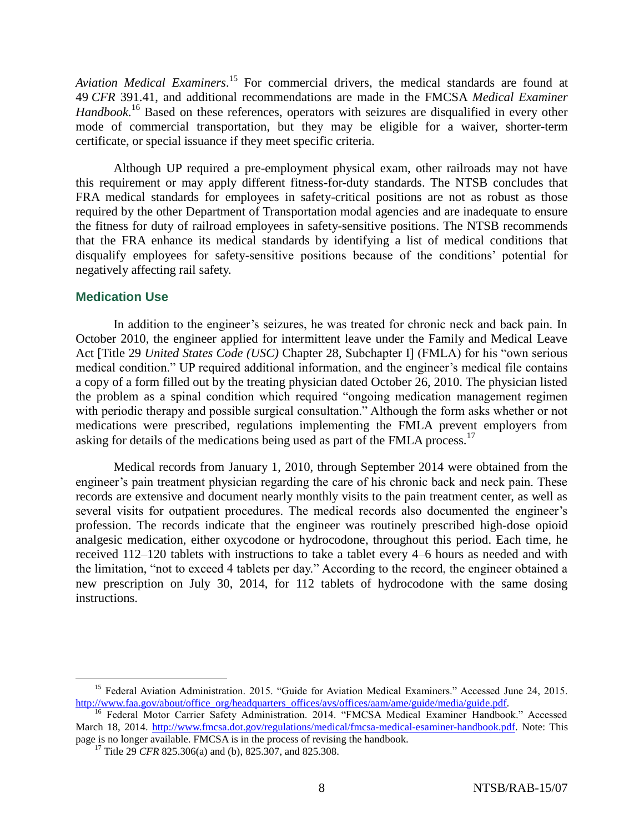*Aviation Medical Examiners*. <sup>15</sup> For commercial drivers, the medical standards are found at 49 *CFR* 391.41, and additional recommendations are made in the FMCSA *Medical Examiner Handbook*. <sup>16</sup> Based on these references, operators with seizures are disqualified in every other mode of commercial transportation, but they may be eligible for a waiver, shorter-term certificate, or special issuance if they meet specific criteria.

Although UP required a pre-employment physical exam, other railroads may not have this requirement or may apply different fitness-for-duty standards. The NTSB concludes that FRA medical standards for employees in safety-critical positions are not as robust as those required by the other Department of Transportation modal agencies and are inadequate to ensure the fitness for duty of railroad employees in safety-sensitive positions. The NTSB recommends that the FRA enhance its medical standards by identifying a list of medical conditions that disqualify employees for safety-sensitive positions because of the conditions' potential for negatively affecting rail safety.

#### **Medication Use**

 $\overline{a}$ 

In addition to the engineer's seizures, he was treated for chronic neck and back pain. In October 2010, the engineer applied for intermittent leave under the Family and Medical Leave Act [Title 29 *United States Code (USC)* Chapter 28, Subchapter I] (FMLA) for his "own serious medical condition." UP required additional information, and the engineer's medical file contains a copy of a form filled out by the treating physician dated October 26, 2010. The physician listed the problem as a spinal condition which required "ongoing medication management regimen with periodic therapy and possible surgical consultation." Although the form asks whether or not medications were prescribed, regulations implementing the FMLA prevent employers from asking for details of the medications being used as part of the FMLA process.<sup>17</sup>

Medical records from January 1, 2010, through September 2014 were obtained from the engineer's pain treatment physician regarding the care of his chronic back and neck pain. These records are extensive and document nearly monthly visits to the pain treatment center, as well as several visits for outpatient procedures. The medical records also documented the engineer's profession. The records indicate that the engineer was routinely prescribed high-dose opioid analgesic medication, either oxycodone or hydrocodone, throughout this period. Each time, he received 112–120 tablets with instructions to take a tablet every 4–6 hours as needed and with the limitation, "not to exceed 4 tablets per day." According to the record, the engineer obtained a new prescription on July 30, 2014, for 112 tablets of hydrocodone with the same dosing instructions.

<sup>&</sup>lt;sup>15</sup> Federal Aviation Administration. 2015. "Guide for Aviation Medical Examiners." Accessed June 24, 2015. [http://www.faa.gov/about/office\\_org/headquarters\\_offices/avs/offices/aam/ame/guide/media/guide.pdf.](http://www.faa.gov/about/office_org/headquarters_offices/avs/offices/aam/ame/guide/media/guide.pdf)

<sup>&</sup>lt;sup>16</sup> Federal Motor Carrier Safety Administration. 2014. "FMCSA Medical Examiner Handbook." Accessed March 18, 2014. [http://www.fmcsa.dot.gov/regulations/medical/fmcsa-medical-esaminer-handbook.pdf.](http://www.fmcsa.dot.gov/regulations/medical/fmcsa-medical-esaminer-handbook.pdf) Note: This page is no longer available. FMCSA is in the process of revising the handbook.

<sup>&</sup>lt;sup>17</sup> Title 29 *CFR* 825.306(a) and (b), 825.307, and 825.308.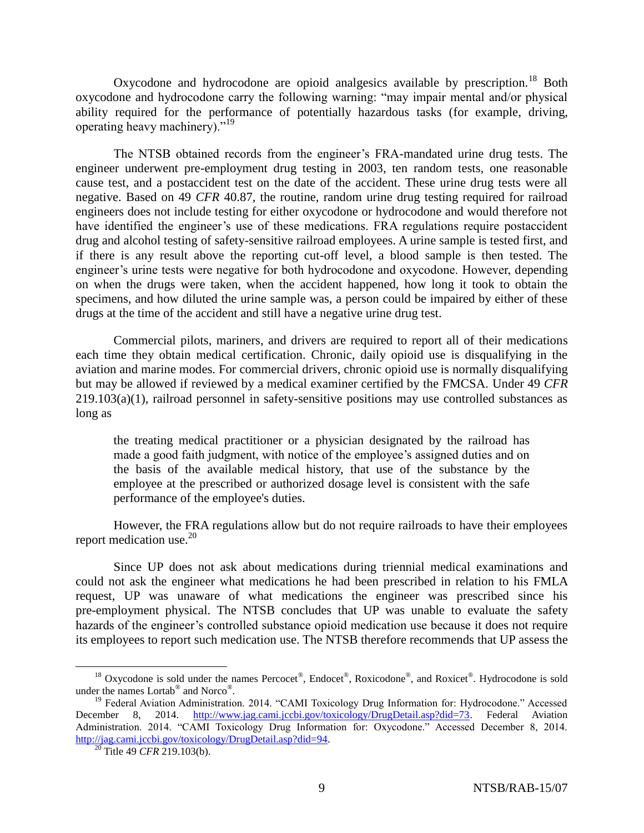Oxycodone and hydrocodone are opioid analgesics available by prescription.<sup>18</sup> Both oxycodone and hydrocodone carry the following warning: "may impair mental and/or physical ability required for the performance of potentially hazardous tasks (for example, driving, operating heavy machinery)."<sup>19</sup>

The NTSB obtained records from the engineer's FRA-mandated urine drug tests. The engineer underwent pre-employment drug testing in 2003, ten random tests, one reasonable cause test, and a postaccident test on the date of the accident. These urine drug tests were all negative. Based on 49 *CFR* 40.87, the routine, random urine drug testing required for railroad engineers does not include testing for either oxycodone or hydrocodone and would therefore not have identified the engineer's use of these medications. FRA regulations require postaccident drug and alcohol testing of safety-sensitive railroad employees. A urine sample is tested first, and if there is any result above the reporting cut-off level, a blood sample is then tested. The engineer's urine tests were negative for both hydrocodone and oxycodone. However, depending on when the drugs were taken, when the accident happened, how long it took to obtain the specimens, and how diluted the urine sample was, a person could be impaired by either of these drugs at the time of the accident and still have a negative urine drug test.

Commercial pilots, mariners, and drivers are required to report all of their medications each time they obtain medical certification. Chronic, daily opioid use is disqualifying in the aviation and marine modes. For commercial drivers, chronic opioid use is normally disqualifying but may be allowed if reviewed by a medical examiner certified by the FMCSA. Under 49 *CFR* 219.103(a)(1), railroad personnel in safety-sensitive positions may use controlled substances as long as

the treating medical practitioner or a physician designated by the railroad has made a good faith judgment, with notice of the employee's assigned duties and on the basis of the available medical history, that use of the substance by the employee at the prescribed or authorized dosage level is consistent with the safe performance of the employee's duties.

However, the FRA regulations allow but do not require railroads to have their employees report medication use.<sup>20</sup>

Since UP does not ask about medications during triennial medical examinations and could not ask the engineer what medications he had been prescribed in relation to his FMLA request, UP was unaware of what medications the engineer was prescribed since his pre-employment physical. The NTSB concludes that UP was unable to evaluate the safety hazards of the engineer's controlled substance opioid medication use because it does not require its employees to report such medication use. The NTSB therefore recommends that UP assess the

<sup>&</sup>lt;sup>18</sup> Oxycodone is sold under the names Percocet<sup>®</sup>, Endocet<sup>®</sup>, Roxicodone<sup>®</sup>, and Roxicet<sup>®</sup>. Hydrocodone is sold under the names Lortab<sup>®</sup> and Norco<sup>®</sup>.

<sup>&</sup>lt;sup>19</sup> Federal Aviation Administration. 2014. "CAMI Toxicology Drug Information for: Hydrocodone." Accessed December 8, 2014. [http://www.jag.cami.jccbi.gov/toxicology/DrugDetail.asp?did=73.](http://www.jag.cami.jccbi.gov/toxicology/DrugDetail.asp?did=73) Federal Aviation Administration. 2014. "CAMI Toxicology Drug Information for: Oxycodone." Accessed December 8, 2014. [http://jag.cami.jccbi.gov/toxicology/DrugDetail.asp?did=94.](http://jag.cami.jccbi.gov/toxicology/DrugDetail.asp?did=94)

<sup>20</sup> Title 49 *CFR* 219.103(b).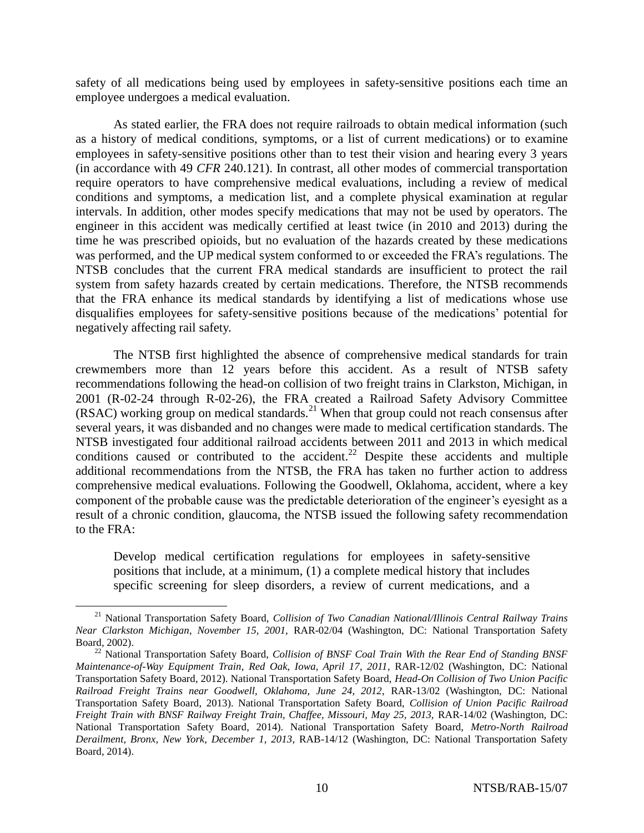safety of all medications being used by employees in safety-sensitive positions each time an employee undergoes a medical evaluation.

As stated earlier, the FRA does not require railroads to obtain medical information (such as a history of medical conditions, symptoms, or a list of current medications) or to examine employees in safety-sensitive positions other than to test their vision and hearing every 3 years (in accordance with 49 *CFR* 240.121). In contrast, all other modes of commercial transportation require operators to have comprehensive medical evaluations, including a review of medical conditions and symptoms, a medication list, and a complete physical examination at regular intervals. In addition, other modes specify medications that may not be used by operators. The engineer in this accident was medically certified at least twice (in 2010 and 2013) during the time he was prescribed opioids, but no evaluation of the hazards created by these medications was performed, and the UP medical system conformed to or exceeded the FRA's regulations. The NTSB concludes that the current FRA medical standards are insufficient to protect the rail system from safety hazards created by certain medications. Therefore, the NTSB recommends that the FRA enhance its medical standards by identifying a list of medications whose use disqualifies employees for safety-sensitive positions because of the medications' potential for negatively affecting rail safety.

The NTSB first highlighted the absence of comprehensive medical standards for train crewmembers more than 12 years before this accident. As a result of NTSB safety recommendations following the head-on collision of two freight trains in Clarkston, Michigan, in 2001 (R-02-24 through R-02-26), the FRA created a Railroad Safety Advisory Committee  $(RSAC)$  working group on medical standards.<sup>21</sup> When that group could not reach consensus after several years, it was disbanded and no changes were made to medical certification standards. The NTSB investigated four additional railroad accidents between 2011 and 2013 in which medical conditions caused or contributed to the accident.<sup>22</sup> Despite these accidents and multiple additional recommendations from the NTSB, the FRA has taken no further action to address comprehensive medical evaluations. Following the Goodwell, Oklahoma, accident, where a key component of the probable cause was the predictable deterioration of the engineer's eyesight as a result of a chronic condition, glaucoma, the NTSB issued the following safety recommendation to the FRA:

Develop medical certification regulations for employees in safety-sensitive positions that include, at a minimum, (1) a complete medical history that includes specific screening for sleep disorders, a review of current medications, and a

<sup>21</sup> National Transportation Safety Board, *Collision of Two Canadian National/Illinois Central Railway Trains Near Clarkston Michigan, November 15, 2001,* RAR-02/04 (Washington, DC: National Transportation Safety Board, 2002).

<sup>&</sup>lt;sup>22</sup> National Transportation Safety Board, *Collision of BNSF Coal Train With the Rear End of Standing BNSF Maintenance-of-Way Equipment Train*, *Red Oak, Iowa, April 17, 2011*, RAR-12/02 (Washington, DC: National Transportation Safety Board, 2012). National Transportation Safety Board, *Head-On Collision of Two Union Pacific Railroad Freight Trains near Goodwell, Oklahoma, June 24, 2012,* RAR-13/02 (Washington, DC: National Transportation Safety Board, 2013). National Transportation Safety Board, *Collision of Union Pacific Railroad Freight Train with BNSF Railway Freight Train, Chaffee, Missouri, May 25, 2013,* RAR-14/02 (Washington, DC: National Transportation Safety Board, 2014). National Transportation Safety Board, *Metro-North Railroad Derailment, Bronx, New York, December 1, 2013*, RAB-14/12 (Washington, DC: National Transportation Safety Board, 2014).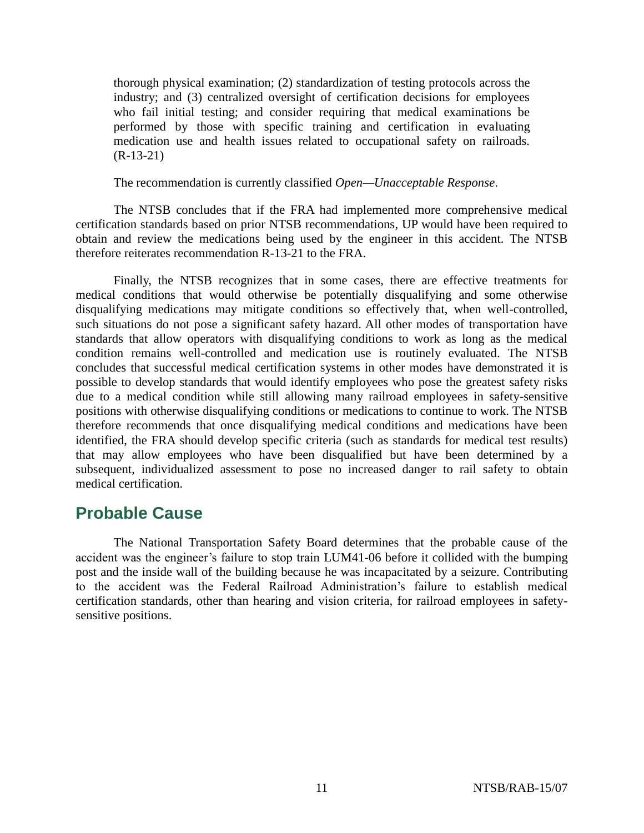thorough physical examination; (2) standardization of testing protocols across the industry; and (3) centralized oversight of certification decisions for employees who fail initial testing; and consider requiring that medical examinations be performed by those with specific training and certification in evaluating medication use and health issues related to occupational safety on railroads.  $(R-13-21)$ 

The recommendation is currently classified *Open—Unacceptable Response*.

The NTSB concludes that if the FRA had implemented more comprehensive medical certification standards based on prior NTSB recommendations, UP would have been required to obtain and review the medications being used by the engineer in this accident. The NTSB therefore reiterates recommendation R-13-21 to the FRA.

Finally, the NTSB recognizes that in some cases, there are effective treatments for medical conditions that would otherwise be potentially disqualifying and some otherwise disqualifying medications may mitigate conditions so effectively that, when well-controlled, such situations do not pose a significant safety hazard. All other modes of transportation have standards that allow operators with disqualifying conditions to work as long as the medical condition remains well-controlled and medication use is routinely evaluated. The NTSB concludes that successful medical certification systems in other modes have demonstrated it is possible to develop standards that would identify employees who pose the greatest safety risks due to a medical condition while still allowing many railroad employees in safety-sensitive positions with otherwise disqualifying conditions or medications to continue to work. The NTSB therefore recommends that once disqualifying medical conditions and medications have been identified, the FRA should develop specific criteria (such as standards for medical test results) that may allow employees who have been disqualified but have been determined by a subsequent, individualized assessment to pose no increased danger to rail safety to obtain medical certification.

### **Probable Cause**

The National Transportation Safety Board determines that the probable cause of the accident was the engineer's failure to stop train LUM41-06 before it collided with the bumping post and the inside wall of the building because he was incapacitated by a seizure. Contributing to the accident was the Federal Railroad Administration's failure to establish medical certification standards, other than hearing and vision criteria, for railroad employees in safetysensitive positions.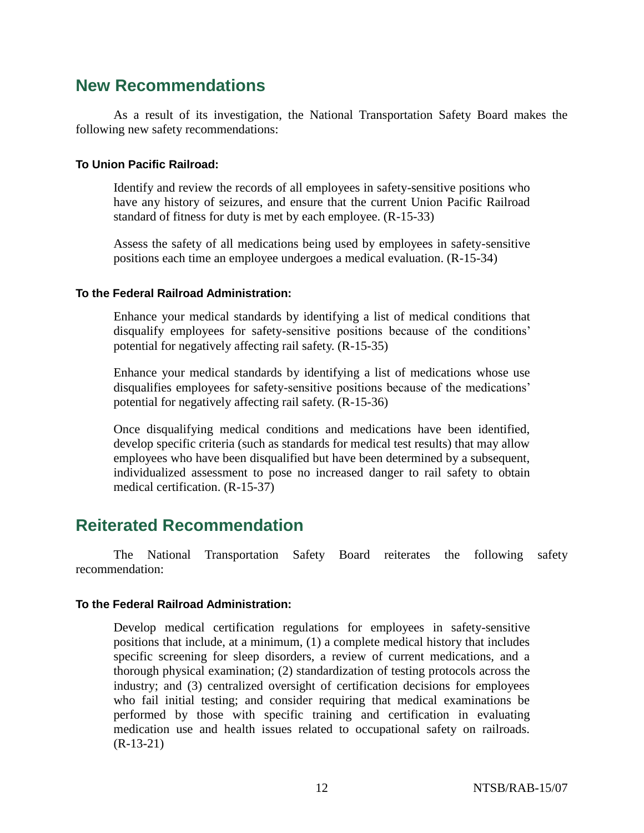### **New Recommendations**

As a result of its investigation, the National Transportation Safety Board makes the following new safety recommendations:

#### **To Union Pacific Railroad:**

Identify and review the records of all employees in safety-sensitive positions who have any history of seizures, and ensure that the current Union Pacific Railroad standard of fitness for duty is met by each employee. (R-15-33)

Assess the safety of all medications being used by employees in safety-sensitive positions each time an employee undergoes a medical evaluation. (R-15-34)

#### **To the Federal Railroad Administration:**

Enhance your medical standards by identifying a list of medical conditions that disqualify employees for safety-sensitive positions because of the conditions' potential for negatively affecting rail safety. (R-15-35)

Enhance your medical standards by identifying a list of medications whose use disqualifies employees for safety-sensitive positions because of the medications' potential for negatively affecting rail safety. (R-15-36)

Once disqualifying medical conditions and medications have been identified, develop specific criteria (such as standards for medical test results) that may allow employees who have been disqualified but have been determined by a subsequent, individualized assessment to pose no increased danger to rail safety to obtain medical certification. (R-15-37)

### **Reiterated Recommendation**

The National Transportation Safety Board reiterates the following safety recommendation:

#### **To the Federal Railroad Administration:**

Develop medical certification regulations for employees in safety-sensitive positions that include, at a minimum, (1) a complete medical history that includes specific screening for sleep disorders, a review of current medications, and a thorough physical examination; (2) standardization of testing protocols across the industry; and (3) centralized oversight of certification decisions for employees who fail initial testing; and consider requiring that medical examinations be performed by those with specific training and certification in evaluating medication use and health issues related to occupational safety on railroads. (R-13-21)